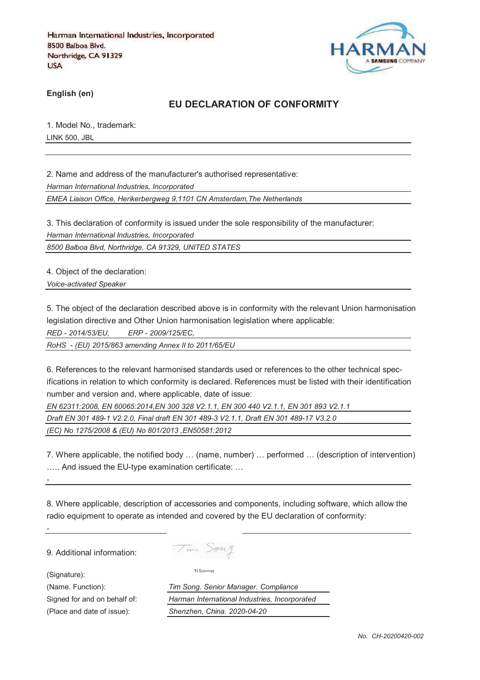

**English (en)**

## **EU DECLARATION OF CONFORMITY**

1. Model No., trademark: LINK 500, JBL

2. Name and address of the manufacturer's authorised representative:

*Harman International Industries, Incorporated*

*EMEA Liaison Office, Herikerbergweg 9,1101 CN Amsterdam,The Netherlands*

3. This declaration of conformity is issued under the sole responsibility of the manufacturer: *Harman International Industries, Incorporated*

*8500 Balboa Blvd, Northridge, CA 91329, UNITED STATES*

4. Object of the declaration:

*Voice-activated Speaker*

5. The object of the declaration described above is in conformity with the relevant Union harmonisation legislation directive and Other Union harmonisation legislation where applicable:

*RED - 2014/53/EU, ERP - 2009/125/EC,*

*RoHS - (EU) 2015/863 amending Annex II to 2011/65/EU*

6. References to the relevant harmonised standards used or references to the other technical specifications in relation to which conformity is declared. References must be listed with their identification number and version and, where applicable, date of issue:

*EN 62311:2008, EN 60065:2014,EN 300 328 V2.1.1, EN 300 440 V2.1.1, EN 301 893 V2.1.1* 

*Draft EN 301 489-1 V2.2.0, Final draft EN 301 489-3 V2.1.1, Draft EN 301 489-17 V3.2.0* 

*(EC) No 1275/2008 & (EU) No 801/2013 ,EN50581:2012* 

7. Where applicable, the notified body … (name, number) … performed … (description of intervention) ….. And issued the EU-type examination certificate: …

8. Where applicable, description of accessories and components, including software, which allow the radio equipment to operate as intended and covered by the EU declaration of conformity:

9. Additional information:

(Signature):

*-*

*-*

Tim Song

TiSong

(Name. Function): *Tim Song. Senior Manager. Compliance* Signed for and on behalf of: *Harman International Industries, Incorporated* (Place and date of issue): *Shenzhen, China. 2020-04-20*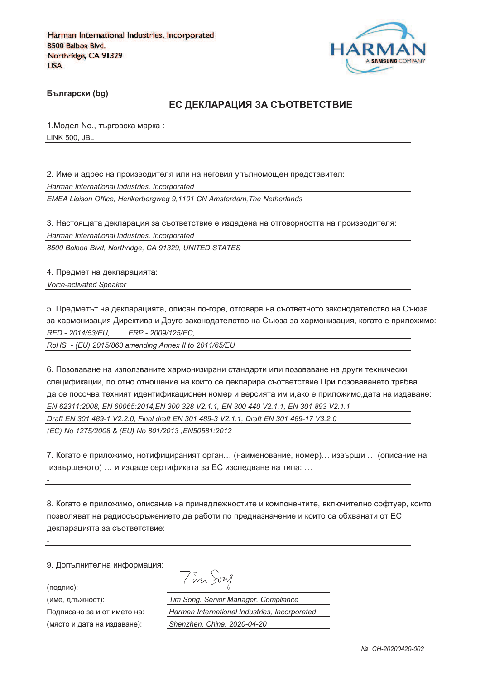

**Български (bg)** 

### ЕС ДЕКЛАРАЦИЯ ЗА СЪОТВЕТСТВИЕ

1. Модел No., търговска марка: LINK 500, JBL

2. Име и адрес на производителя или на неговия упълномощен представител: *Harman International Industries, Incorporated EMEA Liaison Office, Herikerbergweg 9,1101 CN Amsterdam,The Netherlands*

3. Настоящата декларация за съответствие е издадена на отговорността на производителя: *Harman International Industries, Incorporated*

*8500 Balboa Blvd, Northridge, CA 91329, UNITED STATES*

4. Предмет на декларацията: *Voice-activated Speaker*

5. Предметът на декларацията, описан по-горе, отговаря на съответното законодателство на Съюза за хармонизация Директива и Друго законодателство на Съюза за хармонизация, когато е приложимо: *RED - 2014/53/EU, ERP - 2009/125/EC,*

*RoHS - (EU) 2015/863 amending Annex II to 2011/65/EU*

6. Позоваване на използваните хармонизирани стандарти или позоваване на други технически спецификации, по отно отношение на които се декларира съответствие.При позоваването трябва да се посочва техният идентификационен номер и версията им и,ако е приложимо,дата на издаване: *EN 62311:2008, EN 60065:2014,EN 300 328 V2.1.1, EN 300 440 V2.1.1, EN 301 893 V2.1.1 Draft EN 301 489-1 V2.2.0, Final draft EN 301 489-3 V2.1.1, Draft EN 301 489-17 V3.2.0 (EC) No 1275/2008 & (EU) No 801/2013 ,EN50581:2012* 

7. Когато е приложимо, нотифицираният орган… (наименование, номер)… извърши … (описание на извършеното) … и издаде сертификата за ЕС изследване на типа: …

8. Когато е приложимо, описание на принадлежностите и компонентите, включително софтуер, които позволяват на радиосъоръжението да работи по предназначение и които са обхванати от ЕС декларацията за съответствие:

9. Допълнителна информация:

(подпис):

*-*

*-*

(име, длъжност):

Подписано за и от името (място и дата на издав

Tim Song

): *Tim Song. Senior Manager. Compliance* : *Harman International Industries, Incorporated* ): *Shenzhen, China. 2020-04-20*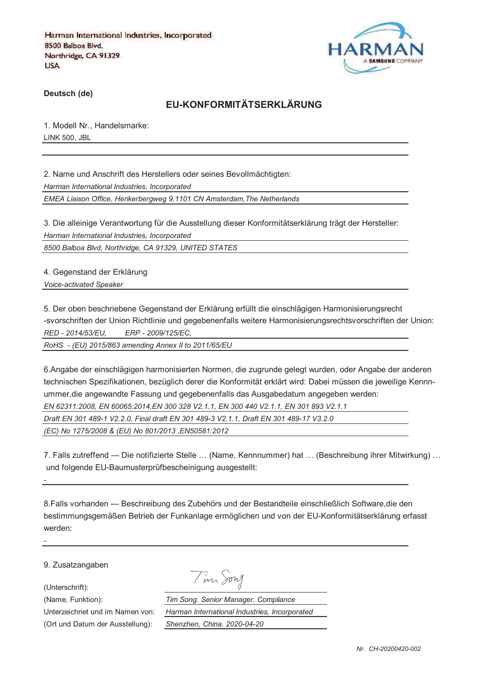

**Deutsch (de)**

# **EU-KONFORMITÄTSERKLÄRUNG**

1. Modell Nr., Handelsmarke: LINK 500, JBL

2. Name und Anschrift des Herstellers oder seines Bevollmächtigten: *Harman International Industries, Incorporated EMEA Liaison Office, Herikerbergweg 9,1101 CN Amsterdam,The Netherlands*

3. Die alleinige Verantwortung für die Ausstellung dieser Konformitätserklärung trägt der Hersteller: *Harman International Industries, Incorporated*

*8500 Balboa Blvd, Northridge, CA 91329, UNITED STATES*

4. Gegenstand der Erklärung *Voice-activated Speaker*

5. Der oben beschriebene Gegenstand der Erklärung erfüllt die einschlägigen Harmonisierungsrecht -svorschriften der Union Richtlinie und gegebenenfalls weitere Harmonisierungsrechtsvorschriften der Union: *RED - 2014/53/EU, ERP - 2009/125/EC,*

*RoHS - (EU) 2015/863 amending Annex II to 2011/65/EU*

6.Angabe der einschlägigen harmonisierten Normen, die zugrunde gelegt wurden, oder Angabe der anderen technischen Spezifikationen, bezüglich derer die Konformität erklärt wird: Dabei müssen die jeweilige Kennnummer,die angewandte Fassung und gegebenenfalls das Ausgabedatum angegeben werden: *EN 62311:2008, EN 60065:2014,EN 300 328 V2.1.1, EN 300 440 V2.1.1, EN 301 893 V2.1.1 Draft EN 301 489-1 V2.2.0, Final draft EN 301 489-3 V2.1.1, Draft EN 301 489-17 V3.2.0 (EC) No 1275/2008 & (EU) No 801/2013 ,EN50581:2012* 

7. Falls zutreffend — Die notifizierte Stelle … (Name, Kennnummer) hat … (Beschreibung ihrer Mitwirkung) … und folgende EU-Baumusterprüfbescheinigung ausgestellt:

8.Falls vorhanden — Beschreibung des Zubehörs und der Bestandteile einschließlich Software,die den bestimmungsgemäßen Betrieb der Funkanlage ermöglichen und von der EU-Konformitätserklärung erfasst werden:

9. Zusatzangaben

(Unterschrift):

*-*

*-*

Tim Song

(Name, Funktion): *Tim Song. Senior Manager. Compliance* Unterzeichnet und im Namen von: *Harman International Industries, Incorporated* (Ort und Datum der Ausstellung): *Shenzhen, China. 2020-04-20*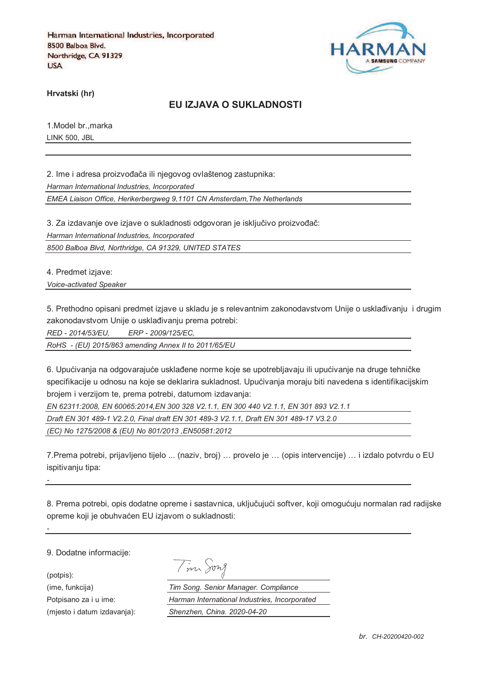

**Hrvatski (hr)**

#### **EU IZJAVA O SUKLADNOSTI**

1.Model br.,marka LINK 500, JBL

2. Ime i adresa proizvođača ili njegovog ovlaštenog zastupnika: *Harman International Industries, Incorporated EMEA Liaison Office, Herikerbergweg 9,1101 CN Amsterdam,The Netherlands*

3. Za izdavanje ove izjave o sukladnosti odgovoran je isključivo proizvođač:

*Harman International Industries, Incorporated*

*8500 Balboa Blvd, Northridge, CA 91329, UNITED STATES*

4. Predmet izjave:

*Voice-activated Speaker*

5. Prethodno opisani predmet izjave u skladu je s relevantnim zakonodavstvom Unije o usklađivanju i drugim zakonodavstvom Unije o usklađivanju prema potrebi:

*RED - 2014/53/EU, ERP - 2009/125/EC,*

*RoHS - (EU) 2015/863 amending Annex II to 2011/65/EU*

6. Upućivanja na odgovarajuće usklađene norme koje se upotrebljavaju ili upućivanje na druge tehničke specifikacije u odnosu na koje se deklarira sukladnost. Upućivanja moraju biti navedena s identifikacijskim brojem i verzijom te, prema potrebi, datumom izdavanja:

*EN 62311:2008, EN 60065:2014,EN 300 328 V2.1.1, EN 300 440 V2.1.1, EN 301 893 V2.1.1 Draft EN 301 489-1 V2.2.0, Final draft EN 301 489-3 V2.1.1, Draft EN 301 489-17 V3.2.0 (EC) No 1275/2008 & (EU) No 801/2013 ,EN50581:2012* 

7.Prema potrebi, prijavljeno tijelo ... (naziv, broj) … provelo je … (opis intervencije) … i izdalo potvrdu o EU ispitivaniu tipa:

8. Prema potrebi, opis dodatne opreme i sastavnica, uključujući softver, koji omogućuju normalan rad radijske opreme koji je obuhvaćen EU izjavom o sukladnosti:

9. Dodatne informacije:

*-*

*-*

(potpis):

|  | vw<br>71 |
|--|----------|
|  |          |

(ime, funkcija) *Tim Song. Senior Manager. Compliance* Potpisano za i u ime: *Harman International Industries, Incorporated* (mjesto i datum izdavanja): *Shenzhen, China. 2020-04-20*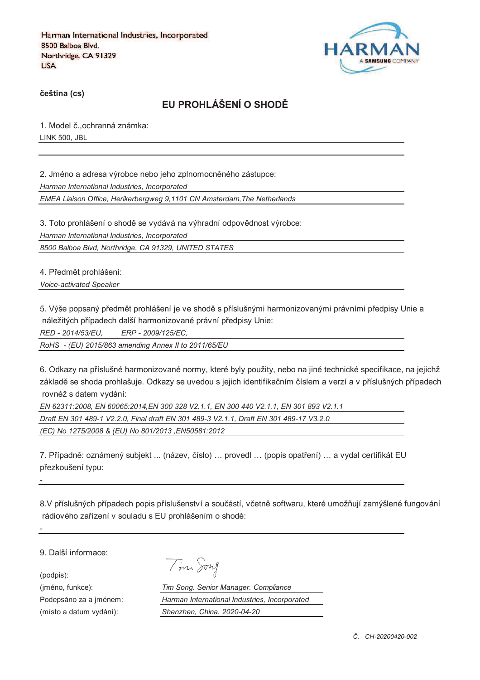

**%eština (cs)**

# **EU PROHLÁŠENÍ O SHOD&**

1. Model č., ochranná známka: LINK 500, JBL

2. Jméno a adresa výrobce nebo jeho zplnomocněného zástupce: *Harman International Industries, Incorporated*

*EMEA Liaison Office, Herikerbergweg 9,1101 CN Amsterdam,The Netherlands*

3. Toto prohlášení o shodě se vydává na výhradní odpovědnost výrobce: *Harman International Industries, Incorporated*

*8500 Balboa Blvd, Northridge, CA 91329, UNITED STATES*

4. Předmět prohlášení:

*Voice-activated Speaker*

5. Výše popsaný předmět prohlášení je ve shodě s příslušnými harmonizovanými právními předpisy Unie a náležitých případech další harmonizované právní předpisy Unie:

*RED - 2014/53/EU, ERP - 2009/125/EC,*

*RoHS - (EU) 2015/863 amending Annex II to 2011/65/EU*

6. Odkazy na příslušné harmonizované normy, které byly použity, nebo na jiné technické specifikace, na jejichž základě se shoda prohlašuje. Odkazy se uvedou s jejich identifikačním číslem a verzí a v příslušných případech rovněž s datem vydání:

*EN 62311:2008, EN 60065:2014,EN 300 328 V2.1.1, EN 300 440 V2.1.1, EN 301 893 V2.1.1 Draft EN 301 489-1 V2.2.0, Final draft EN 301 489-3 V2.1.1, Draft EN 301 489-17 V3.2.0 (EC) No 1275/2008 & (EU) No 801/2013 ,EN50581:2012* 

7. Případně: oznámený subjekt ... (název, číslo) ... provedl ... (popis opatření) ... a vydal certifikát EU přezkoušení typu:

8.V příslušných případech popis příslušenství a součástí, včetně softwaru, které umožňují zamýšlené fungování rádiového zařízení v souladu s EU prohlášením o shodě:

9. Další informace:

(podpis):

*-*

*-*

| vn I<br>$\ell$ |
|----------------|
|                |

(jméno, funkce): *Tim Song. Senior Manager. Compliance* Podepsáno za a jménem: *Harman International Industries, Incorporated* (místo a datum vydání): *Shenzhen, China. 2020-04-20*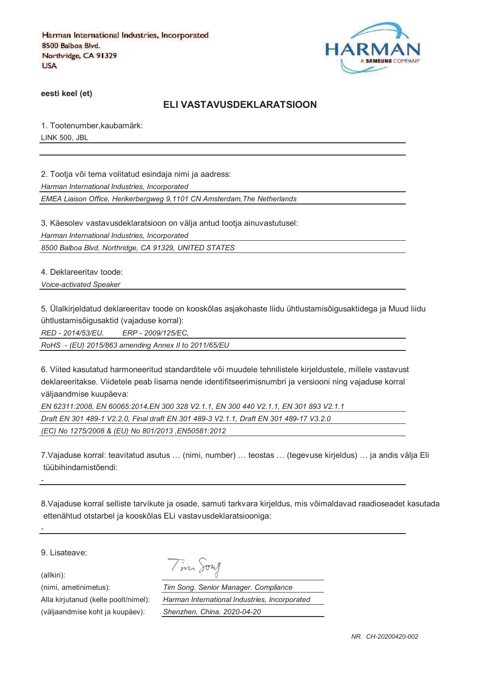

**eesti keel (et)**

#### **ELI VASTAVUSDEKLARATSIOON**

1. Tootenumber,kaubamärk: LINK 500, JBL

2. Tootja või tema volitatud esindaja nimi ja aadress:

*Harman International Industries, Incorporated*

*EMEA Liaison Office, Herikerbergweg 9,1101 CN Amsterdam,The Netherlands*

3. Käesolev vastavusdeklaratsioon on välja antud tootja ainuvastutusel:

*Harman International Industries, Incorporated*

*8500 Balboa Blvd, Northridge, CA 91329, UNITED STATES*

4. Deklareeritav toode:

*Voice-activated Speaker*

5. Ülalkirjeldatud deklareeritav toode on kooskõlas asjakohaste liidu ühtlustamisõigusaktidega ja Muud liidu ühtlustamisõigusaktid (vajaduse korral):

*RED - 2014/53/EU, ERP - 2009/125/EC,*

*RoHS - (EU) 2015/863 amending Annex II to 2011/65/EU*

6. Viited kasutatud harmoneeritud standarditele või muudele tehnilistele kirjeldustele, millele vastavust deklareeritakse. Viidetele peab lisama nende identifitseerimisnumbri ja versiooni ning vajaduse korral väljaandmise kuupäeva:

*EN 62311:2008, EN 60065:2014,EN 300 328 V2.1.1, EN 300 440 V2.1.1, EN 301 893 V2.1.1 Draft EN 301 489-1 V2.2.0, Final draft EN 301 489-3 V2.1.1, Draft EN 301 489-17 V3.2.0 (EC) No 1275/2008 & (EU) No 801/2013 ,EN50581:2012* 

Tim Song

7.Vajaduse korral: teavitatud asutus … (nimi, number) … teostas … (tegevuse kirjeldus) … ja andis välja Eli tüübihindamistõendi:

8.Vajaduse korral selliste tarvikute ja osade, samuti tarkvara kirjeldus, mis võimaldavad raadioseadet kasutada ettenähtud otstarbel ja kooskõlas ELi vastavusdeklaratsiooniga:

9. Lisateave:

(allkiri):

*-*

*-*

(nimi, ametinimetus): *Tim Song. Senior Manager. Compliance* Alla kirjutanud (kelle poolt/nimel): *Harman International Industries, Incorporated* (väljaandmise koht ja kuupäev): *Shenzhen, China. 2020-04-20*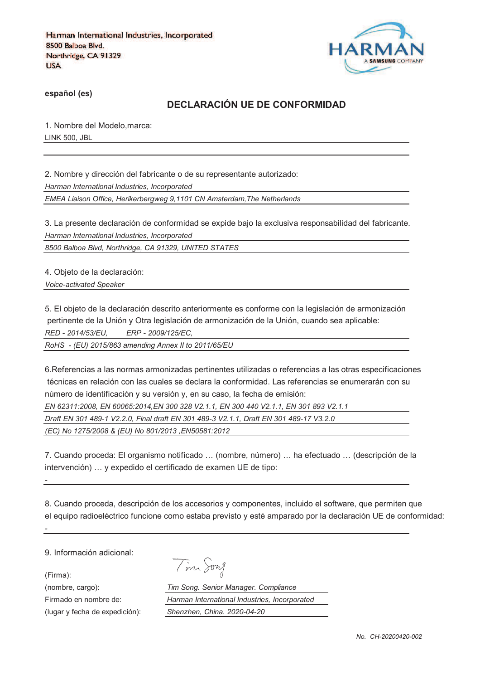

**español (es)**

## **DECLARACIÓN UE DE CONFORMIDAD**

1. Nombre del Modelo,marca: LINK 500, JBL

2. Nombre y dirección del fabricante o de su representante autorizado: *Harman International Industries, Incorporated*

*EMEA Liaison Office, Herikerbergweg 9,1101 CN Amsterdam,The Netherlands*

3. La presente declaración de conformidad se expide bajo la exclusiva responsabilidad del fabricante. *Harman International Industries, Incorporated*

*8500 Balboa Blvd, Northridge, CA 91329, UNITED STATES*

4. Objeto de la declaración:

*Voice-activated Speaker*

5. El objeto de la declaración descrito anteriormente es conforme con la legislación de armonización pertinente de la Unión y Otra legislación de armonización de la Unión, cuando sea aplicable: *RED - 2014/53/EU, ERP - 2009/125/EC,*

*RoHS - (EU) 2015/863 amending Annex II to 2011/65/EU*

6.Referencias a las normas armonizadas pertinentes utilizadas o referencias a las otras especificaciones técnicas en relación con las cuales se declara la conformidad. Las referencias se enumerarán con su número de identificación y su versión y, en su caso, la fecha de emisión:

*EN 62311:2008, EN 60065:2014,EN 300 328 V2.1.1, EN 300 440 V2.1.1, EN 301 893 V2.1.1* 

*Draft EN 301 489-1 V2.2.0, Final draft EN 301 489-3 V2.1.1, Draft EN 301 489-17 V3.2.0* 

*(EC) No 1275/2008 & (EU) No 801/2013 ,EN50581:2012* 

7. Cuando proceda: El organismo notificado … (nombre, número) … ha efectuado … (descripción de la intervención) … y expedido el certificado de examen UE de tipo:

8. Cuando proceda, descripción de los accesorios y componentes, incluido el software, que permiten que el equipo radioeléctrico funcione como estaba previsto y esté amparado por la declaración UE de conformidad:

9. Información adicional:

(Firma):

*-*

*-*

(lugar y fecha de expedición): *Shenzhen, China. 2020-04-20*

|  | 172.7 |
|--|-------|
|--|-------|

(nombre, cargo): *Tim Song. Senior Manager. Compliance* Firmado en nombre de: *Harman International Industries, Incorporated*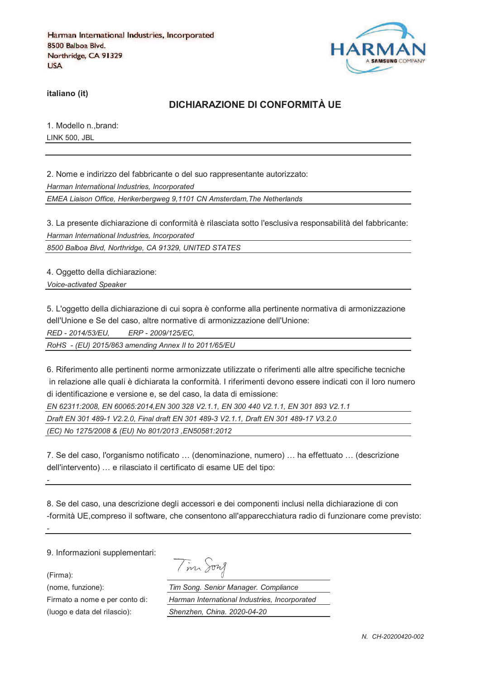

**italiano (it)**

### **DICHIARAZIONE DI CONFORMITÀ UE**

1. Modello n.,brand: LINK 500, JBL

2. Nome e indirizzo del fabbricante o del suo rappresentante autorizzato: *Harman International Industries, Incorporated EMEA Liaison Office, Herikerbergweg 9,1101 CN Amsterdam,The Netherlands*

3. La presente dichiarazione di conformità è rilasciata sotto l'esclusiva responsabilità del fabbricante: *Harman International Industries, Incorporated*

*8500 Balboa Blvd, Northridge, CA 91329, UNITED STATES*

4. Oggetto della dichiarazione:

*Voice-activated Speaker*

5. L'oggetto della dichiarazione di cui sopra è conforme alla pertinente normativa di armonizzazione dell'Unione e Se del caso, altre normative di armonizzazione dell'Unione:

*RED - 2014/53/EU, ERP - 2009/125/EC,*

*RoHS - (EU) 2015/863 amending Annex II to 2011/65/EU*

6. Riferimento alle pertinenti norme armonizzate utilizzate o riferimenti alle altre specifiche tecniche in relazione alle quali è dichiarata la conformità. I riferimenti devono essere indicati con il loro numero di identificazione e versione e, se del caso, la data di emissione:

*EN 62311:2008, EN 60065:2014,EN 300 328 V2.1.1, EN 300 440 V2.1.1, EN 301 893 V2.1.1 Draft EN 301 489-1 V2.2.0, Final draft EN 301 489-3 V2.1.1, Draft EN 301 489-17 V3.2.0 (EC) No 1275/2008 & (EU) No 801/2013 ,EN50581:2012* 

7. Se del caso, l'organismo notificato … (denominazione, numero) … ha effettuato … (descrizione dell'intervento) … e rilasciato il certificato di esame UE del tipo:

8. Se del caso, una descrizione degli accessori e dei componenti inclusi nella dichiarazione di con -formità UE,compreso il software, che consentono all'apparecchiatura radio di funzionare come previsto:

9. Informazioni supplementari:

(Firma):

*-*

*-*

Tim Song

(nome, funzione): *Tim Song. Senior Manager. Compliance* Firmato a nome e per conto di: *Harman International Industries, Incorporated* (luogo e data del rilascio): *Shenzhen, China. 2020-04-20*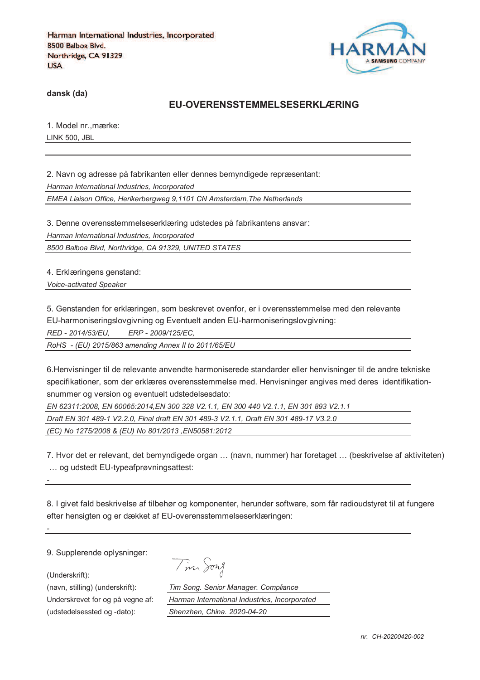

**dansk (da)**

#### **EU-OVERENSSTEMMELSESERKLÆRING**

1. Model nr.,mærke: LINK 500, JBL

2. Navn og adresse på fabrikanten eller dennes bemyndigede repræsentant: *Harman International Industries, Incorporated EMEA Liaison Office, Herikerbergweg 9,1101 CN Amsterdam,The Netherlands*

3. Denne overensstemmelseserklæring udstedes på fabrikantens ansvar *Harman International Industries, Incorporated 8500 Balboa Blvd, Northridge, CA 91329, UNITED STATES*

4. Erklæringens genstand:

*Voice-activated Speaker*

5. Genstanden for erklæringen, som beskrevet ovenfor, er i overensstemmelse med den relevante

EU-harmoniseringslovgivning og Eventuelt anden EU-harmoniseringslovgivning:

*RED - 2014/53/EU, ERP - 2009/125/EC,*

*RoHS - (EU) 2015/863 amending Annex II to 2011/65/EU*

6.Henvisninger til de relevante anvendte harmoniserede standarder eller henvisninger til de andre tekniske specifikationer, som der erklæres overensstemmelse med. Henvisninger angives med deres identifikationsnummer og version og eventuelt udstedelsesdato:

*EN 62311:2008, EN 60065:2014,EN 300 328 V2.1.1, EN 300 440 V2.1.1, EN 301 893 V2.1.1 Draft EN 301 489-1 V2.2.0, Final draft EN 301 489-3 V2.1.1, Draft EN 301 489-17 V3.2.0 (EC) No 1275/2008 & (EU) No 801/2013 ,EN50581:2012* 

7. Hvor det er relevant, det bemyndigede organ … (navn, nummer) har foretaget … (beskrivelse af aktiviteten) … og udstedt EU-typeafprøvningsattest:

8. I givet fald beskrivelse af tilbehør og komponenter, herunder software, som får radioudstyret til at fungere efter hensigten og er dækket af EU-overensstemmelseserklæringen:

9. Supplerende oplysninger:

(Underskrift):

*-*

*-*

(udstedelsessted og -dato): *Shenzhen, China. 2020-04-20*

Tim Song

(navn, stilling) (underskrift): *Tim Song. Senior Manager. Compliance* Underskrevet for og på vegne af: *Harman International Industries, Incorporated*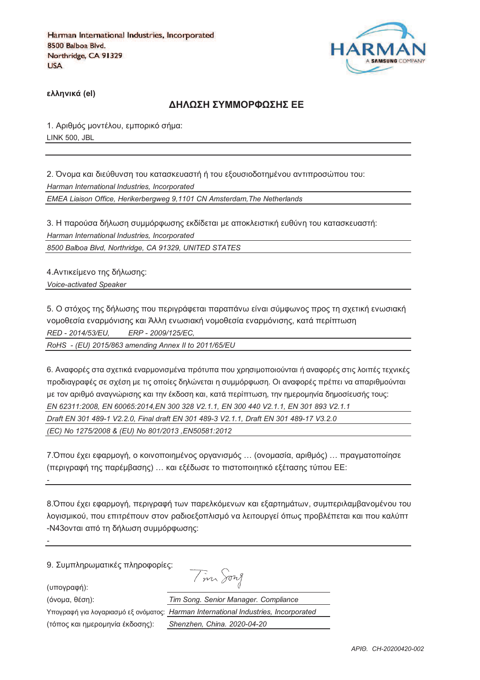

**)\*\*+,-./ (el)**

#### **ΔΗΛΟΣΗ ΣΥΜΜΟΡΦΟΣΗΣ ΕΕ**

1. Αριθμός μοντέλου, εμπορικό σήμα: LINK 500, JBL

2. Όνομα και διεύθυνση του κατασκευαστή ή του εξουσιοδοτημένου αντιπροσώπου του: *Harman International Industries, Incorporated EMEA Liaison Office, Herikerbergweg 9,1101 CN Amsterdam,The Netherlands*

3. Η παρούσα δήλωση συμμόρφωσης εκδίδεται με αποκλειστική ευθύνη του κατασκευαστή: *Harman International Industries, Incorporated*

*8500 Balboa Blvd, Northridge, CA 91329, UNITED STATES*

4. Αντικείμενο της δήλωσης: *Voice-activated Speaker*

5. Ο στόχος της δήλωσης που περιγράφεται παραπάνω είναι σύμφωνος προς τη σχετική ενωσιακή vομοθεσία εναρμόνισης και Άλλη ενωσιακή νομοθεσία εναρμόνισης, κατά περίπτωση *RED - 2014/53/EU, ERP - 2009/125/EC,*

*RoHS - (EU) 2015/863 amending Annex II to 2011/65/EU*

6. Αναφορές στα σχετικά εναρμονισμένα πρότυπα που χρησιμοποιούνται ή αναφορές στις λοιπές τεχνικές προδιαγραφές σε σχέση με τις οποίες δηλώνεται η συμμόρφωση. Οι αναφορές πρέπει να απαριθμούνται με τον αριθμό αναννώρισης και την έκδοση και, κατά περίπτωση, την ημερομηνία δημοσίευσής τους; *EN 62311:2008, EN 60065:2014,EN 300 328 V2.1.1, EN 300 440 V2.1.1, EN 301 893 V2.1.1 Draft EN 301 489-1 V2.2.0, Final draft EN 301 489-3 V2.1.1, Draft EN 301 489-17 V3.2.0 (EC) No 1275/2008 & (EU) No 801/2013 ,EN50581:2012* 

7.Όπου έχει εφαρμογή, ο κοινοποιημένος οργανισμός ... (ονομασία, αριθμός) ... πραγματοποίησε (περιγραφή της παρέμβασης) ... και εξέδωσε το πιστοποιητικό εξέτασης τύπου ΕΕ:

8. Όπου έχει εφαρμογή, περιγραφή των παρελκόμενων και εξαρτημάτων, συμπεριλαμβανομένου του λογισμικού, που επιτρέπουν στον ραδιοεξοπλισμό να λειτουργεί όπως προβλέπεται και που καλύπτ -N43ονται από τη δήλωση συμμόρφωσης:

9. Συμπληρωματικές πληροφορίες:

(υπογραφή):

*-*

*-*

 $\overline{I}$  on  $\Omega$ 

(3652@, 18>D): *Tim Song. Senior Manager. Compliance*

Υπογραφή για λογαριασμό εξ ονόματος:

(τόπος και ημερομηνία έκδοσης):

| $\sim$ $\sim$ $\sim$ $\sim$ $\sim$            |
|-----------------------------------------------|
| Tim Song. Senior Manager. Compliance          |
| Harman International Industries, Incorporated |
| Shenzhen, China. 2020-04-20                   |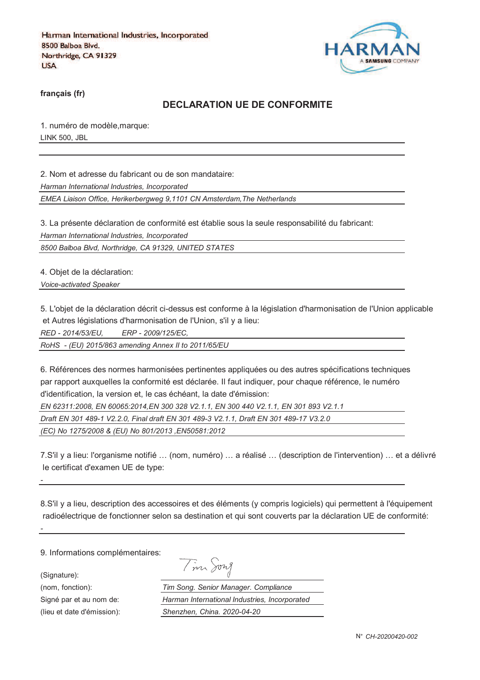

**français (fr)**

### **DECLARATION UE DE CONFORMITE**

1. numéro de modèle,marque: LINK 500, JBL

2. Nom et adresse du fabricant ou de son mandataire:

*Harman International Industries, Incorporated*

*EMEA Liaison Office, Herikerbergweg 9,1101 CN Amsterdam,The Netherlands*

3. La présente déclaration de conformité est établie sous la seule responsabilité du fabricant:

*Harman International Industries, Incorporated*

*8500 Balboa Blvd, Northridge, CA 91329, UNITED STATES*

4. Objet de la déclaration: *Voice-activated Speaker*

5. L'objet de la déclaration décrit ci-dessus est conforme à la législation d'harmonisation de l'Union applicable et Autres législations d'harmonisation de l'Union, s'il y a lieu:

*RED - 2014/53/EU, ERP - 2009/125/EC,*

*RoHS - (EU) 2015/863 amending Annex II to 2011/65/EU*

6. Références des normes harmonisées pertinentes appliquées ou des autres spécifications techniques par rapport auxquelles la conformité est déclarée. Il faut indiquer, pour chaque référence, le numéro d'identification, la version et, le cas échéant, la date d'émission:

*EN 62311:2008, EN 60065:2014,EN 300 328 V2.1.1, EN 300 440 V2.1.1, EN 301 893 V2.1.1* 

*Draft EN 301 489-1 V2.2.0, Final draft EN 301 489-3 V2.1.1, Draft EN 301 489-17 V3.2.0* 

*(EC) No 1275/2008 & (EU) No 801/2013 ,EN50581:2012* 

7.S'il y a lieu: l'organisme notifié … (nom, numéro) … a réalisé … (description de l'intervention) … et a délivré le certificat d'examen UE de type:

8.S'il y a lieu, description des accessoires et des éléments (y compris logiciels) qui permettent à l'équipement radioélectrique de fonctionner selon sa destination et qui sont couverts par la déclaration UE de conformité:

9. Informations complémentaires:

(Signature):

*-*

*-*

(nom, fonction): *T*<br>
Signé par et au nom de: *H* Signé par et au nom de:

(lieu et date d'émission):

| $\mathcal{M}_{\Lambda}$ | $v\nu\lambda$<br>7) |
|-------------------------|---------------------|
|                         |                     |

| im Song. Senior Manager. Compliance           |
|-----------------------------------------------|
| Iarman International Industries, Incorporated |
| Shenzhen, China. 2020-04-20                   |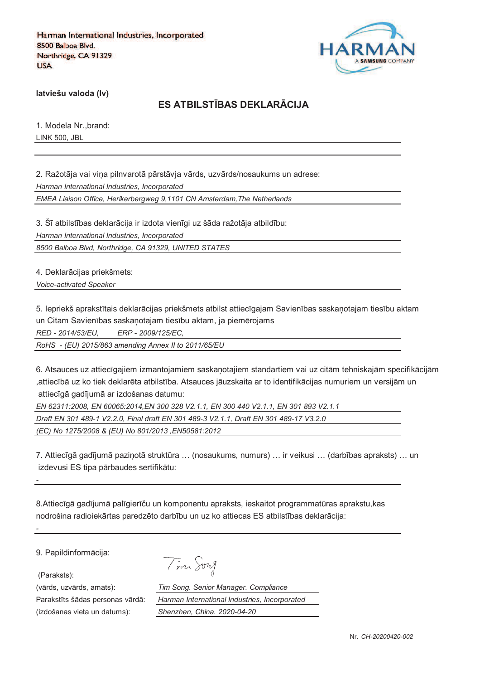

**latviešu valoda (lv)**

# **ES ATBILSTJBAS DEKLARKCIJA**

1. Modela Nr.,brand: LINK 500, JBL

2. Ražotāja vai vina pilnvarotā pārstāvja vārds, uzvārds/nosaukums un adrese: *Harman International Industries, Incorporated*

*EMEA Liaison Office, Herikerbergweg 9,1101 CN Amsterdam,The Netherlands*

3. Šī atbilstības deklarācija ir izdota vienīgi uz šāda ražotāja atbildību: *Harman International Industries, Incorporated 8500 Balboa Blvd, Northridge, CA 91329, UNITED STATES*

4. Deklarācijas priekšmets:

*Voice-activated Speaker*

5. Iepriekš aprakstītais deklarācijas priekšmets atbilst attiecīgajam Savienības saskanotajam tiesību aktam un Citam Savienības saskaņotajam tiesību aktam, ja piemērojams

*RED - 2014/53/EU, ERP - 2009/125/EC,*

*RoHS - (EU) 2015/863 amending Annex II to 2011/65/EU*

6. Atsauces uz attiecīgajiem izmantojamiem saskanotajiem standartiem vai uz citām tehniskajām specifikācijām ,attiecībā uz ko tiek deklarēta atbilstība. Atsauces jāuzskaita ar to identifikācijas numuriem un versijām un attiecīgā gadījumā ar izdošanas datumu:

*EN 62311:2008, EN 60065:2014,EN 300 328 V2.1.1, EN 300 440 V2.1.1, EN 301 893 V2.1.1 Draft EN 301 489-1 V2.2.0, Final draft EN 301 489-3 V2.1.1, Draft EN 301 489-17 V3.2.0 (EC) No 1275/2008 & (EU) No 801/2013 ,EN50581:2012* 

7. Attiecīgā gadījumā pazinotā struktūra ... (nosaukums, numurs) ... ir veikusi ... (darbības apraksts) ... un izdevusi ES tipa pārbaudes sertifikātu:

8.Attiecīgā gadījumā palīgierīču un komponentu apraksts, ieskaitot programmatūras aprakstu, kas nodrošina radioiekārtas paredzēto darbību un uz ko attiecas ES atbilstības deklarācija:

9. Papildinformācija:

(Paraksts):

*-*

*-*

(izdošanas vieta un datums): *Shenzhen, China. 2020-04-20*

|  | 1970 A |
|--|--------|
|--|--------|

(vārds, uzvārds, amats): *Tim Song. Senior Manager. Compliance* Parakstīts šādas personas vārdā: *Harman International Industries, Incorporated*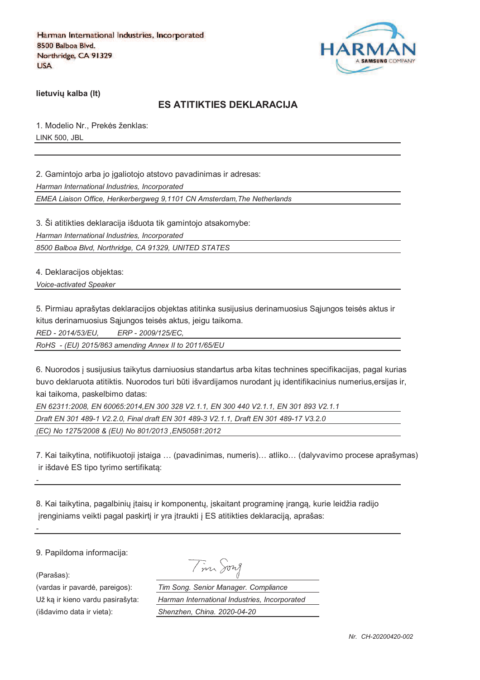

**lietuviu kalba (It)** 

#### **ES ATITIKTIES DEKLARACIJA**

1. Modelio Nr., Prekės ženklas: LINK 500, JBL

2. Gamintojo arba jo igaliotojo atstovo pavadinimas ir adresas:

*Harman International Industries, Incorporated*

*EMEA Liaison Office, Herikerbergweg 9,1101 CN Amsterdam,The Netherlands*

3. Ši atitikties deklaracija išduota tik gamintojo atsakomybe:

*Harman International Industries, Incorporated*

*8500 Balboa Blvd, Northridge, CA 91329, UNITED STATES*

4. Deklaracijos objektas:

*Voice-activated Speaker*

5. Pirmiau aprašytas deklaracijos objektas atitinka susijusius derinamuosius Sajungos teisės aktus ir kitus derinamuosius Sąjungos teisės aktus, jeigu taikoma.

*RED - 2014/53/EU, ERP - 2009/125/EC,*

*RoHS - (EU) 2015/863 amending Annex II to 2011/65/EU*

6. Nuorodos ` susijusius taikytus darniuosius standartus arba kitas technines specifikacijas, pagal kurias buvo deklaruota atitiktis. Nuorodos turi būti išvardijamos nurodant jų identifikacinius numerius,ersijas ir, kai taikoma, paskelbimo datas:

*EN 62311:2008, EN 60065:2014,EN 300 328 V2.1.1, EN 300 440 V2.1.1, EN 301 893 V2.1.1 Draft EN 301 489-1 V2.2.0, Final draft EN 301 489-3 V2.1.1, Draft EN 301 489-17 V3.2.0 (EC) No 1275/2008 & (EU) No 801/2013 ,EN50581:2012* 

7. Kai taikytina, notifikuotoji `staiga … (pavadinimas, numeris)… atliko… (dalyvavimo procese aprašymas) ir išdavė ES tipo tyrimo sertifikata:

8. Kai taikytina, pagalbinių įtaisų ir komponentų, įskaitant programinę įrangą, kurie leidžia radijo jrenginiams veikti pagal paskirtį ir yra įtraukti į ES atitikties deklaraciją, aprašas:

9. Papildoma informacija:

(Parašas):

*-*

*-*

(išdavimo data ir vieta): *Shenzhen, China. 2020-04-20*

Tim Song

(vardas ir pavard\_, pareigos): *Tim Song. Senior Manager. Compliance* Už ka ir kieno vardu pasirašyta: *Harman International Industries, Incorporated*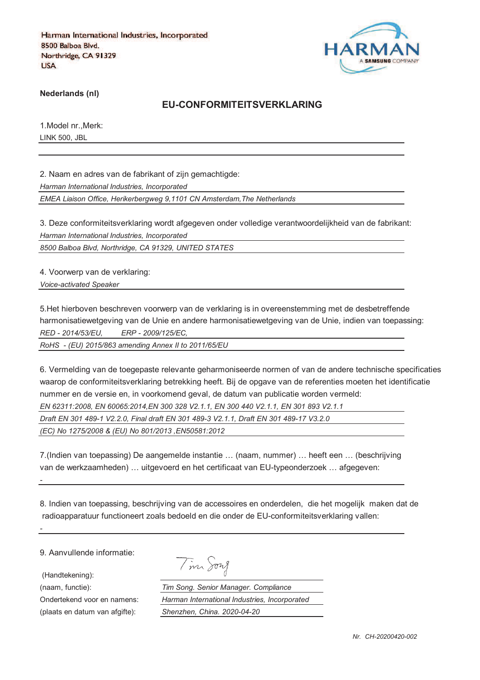

**Nederlands (nl)**

#### **EU-CONFORMITEITSVERKLARING**

1.Model nr.,Merk: LINK 500, JBL

2. Naam en adres van de fabrikant of zijn gemachtigde:

*Harman International Industries, Incorporated*

*EMEA Liaison Office, Herikerbergweg 9,1101 CN Amsterdam,The Netherlands*

3. Deze conformiteitsverklaring wordt afgegeven onder volledige verantwoordelijkheid van de fabrikant: *Harman International Industries, Incorporated*

*8500 Balboa Blvd, Northridge, CA 91329, UNITED STATES*

4. Voorwerp van de verklaring:

*Voice-activated Speaker*

5.Het hierboven beschreven voorwerp van de verklaring is in overeenstemming met de desbetreffende harmonisatiewetgeving van de Unie en andere harmonisatiewetgeving van de Unie, indien van toepassing: *RED - 2014/53/EU, ERP - 2009/125/EC,*

*RoHS - (EU) 2015/863 amending Annex II to 2011/65/EU*

6. Vermelding van de toegepaste relevante geharmoniseerde normen of van de andere technische specificaties waarop de conformiteitsverklaring betrekking heeft. Bij de opgave van de referenties moeten het identificatie nummer en de versie en, in voorkomend geval, de datum van publicatie worden vermeld: *EN 62311:2008, EN 60065:2014,EN 300 328 V2.1.1, EN 300 440 V2.1.1, EN 301 893 V2.1.1 Draft EN 301 489-1 V2.2.0, Final draft EN 301 489-3 V2.1.1, Draft EN 301 489-17 V3.2.0* 

*(EC) No 1275/2008 & (EU) No 801/2013 ,EN50581:2012* 

7.(Indien van toepassing) De aangemelde instantie … (naam, nummer) … heeft een … (beschrijving van de werkzaamheden) … uitgevoerd en het certificaat van EU-typeonderzoek … afgegeven:

8. Indien van toepassing, beschrijving van de accessoires en onderdelen, die het mogelijk maken dat de radioapparatuur functioneert zoals bedoeld en die onder de EU-conformiteitsverklaring vallen:

9. Aanvullende informatie:

(Handtekening):

*-*

*-*

(naam, functie): *Tim Song. Senior Manager. Compliance* Ondertekend voor en namens: *Harman International Industries, Incorporated* (plaats en datum van afgifte): *Shenzhen, China. 2020-04-20*

Tim Song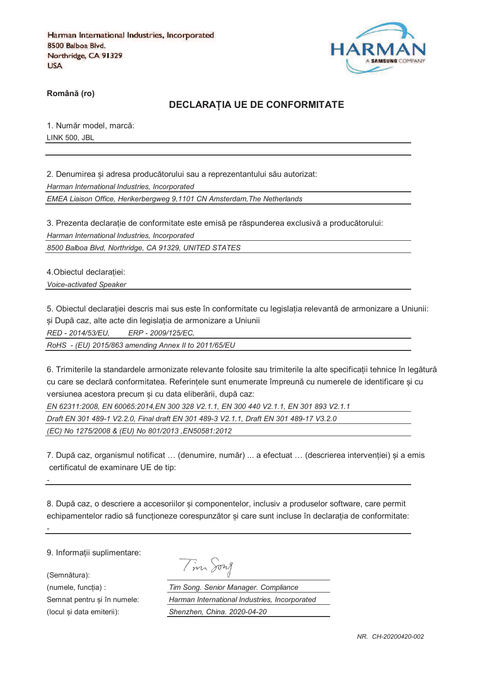

**RomânO (ro)**

#### **DECLARAPIA UE DE CONFORMITATE**

1. Număr model, marcă: LINK 500, JBL

2. Denumirea si adresa producătorului sau a reprezentantului său autorizat: *Harman International Industries, Incorporated*

*EMEA Liaison Office, Herikerbergweg 9,1101 CN Amsterdam,The Netherlands*

3. Prezenta declarație de conformitate este emisă pe răspunderea exclusivă a producătorului: *Harman International Industries, Incorporated*

*8500 Balboa Blvd, Northridge, CA 91329, UNITED STATES*

4. Obiectul declaratiei:

*Voice-activated Speaker*

5. Obiectul declaratiei descris mai sus este în conformitate cu legislatia relevantă de armonizare a Uniunii: și După caz, alte acte din legislația de armonizare a Uniunii

*RED - 2014/53/EU, ERP - 2009/125/EC,*

*RoHS - (EU) 2015/863 amending Annex II to 2011/65/EU*

6. Trimiterile la standardele armonizate relevante folosite sau trimiterile la alte specificatii tehnice în legătură cu care se declară conformitatea. Referintele sunt enumerate împreună cu numerele de identificare si cu versiunea acestora precum si cu data eliberării, după caz:

*EN 62311:2008, EN 60065:2014,EN 300 328 V2.1.1, EN 300 440 V2.1.1, EN 301 893 V2.1.1 Draft EN 301 489-1 V2.2.0, Final draft EN 301 489-3 V2.1.1, Draft EN 301 489-17 V3.2.0 (EC) No 1275/2008 & (EU) No 801/2013 ,EN50581:2012* 

7. După caz, organismul notificat ... (denumire, număr) ... a efectuat ... (descrierea interventiei) si a emis certificatul de examinare UE de tip:

8. După caz, o descriere a accesoriilor și componentelor, inclusiv a produselor software, care permit echipamentelor radio să funcționeze corespunzător și care sunt incluse în declarația de conformitate:

9. Informatii suplimentare:

(Semnătura):

*-*

*-*

Tim Song

(numele, funcgia) : *Tim Song. Senior Manager. Compliance* Semnat pentru si în numele: *Harman International Industries, Incorporated* (locul fi data emiterii): *Shenzhen, China. 2020-04-20*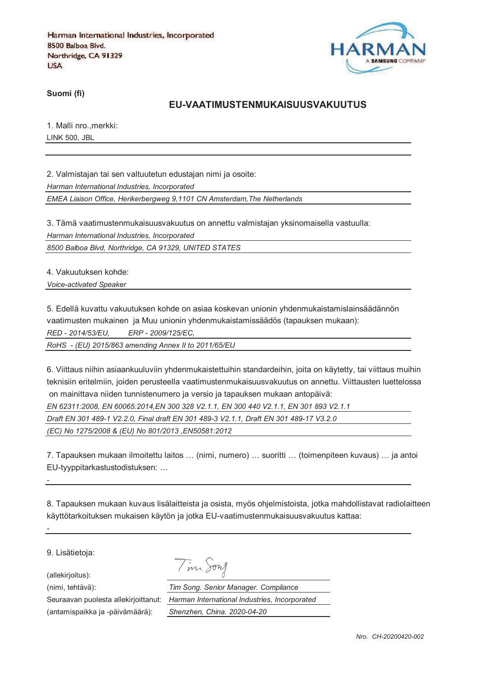

**Suomi (fi)**

#### **EU-VAATIMUSTENMUKAISUUSVAKUUTUS**

1. Malli nro.,merkki: LINK 500, JBL

2. Valmistajan tai sen valtuutetun edustajan nimi ja osoite:

*Harman International Industries, Incorporated*

*EMEA Liaison Office, Herikerbergweg 9,1101 CN Amsterdam,The Netherlands*

3. Tämä vaatimustenmukaisuusvakuutus on annettu valmistajan yksinomaisella vastuulla: *Harman International Industries, Incorporated*

*8500 Balboa Blvd, Northridge, CA 91329, UNITED STATES*

4. Vakuutuksen kohde:

*Voice-activated Speaker*

5. Edellä kuvattu vakuutuksen kohde on asiaa koskevan unionin yhdenmukaistamislainsäädännön vaatimusten mukainen ja Muu unionin yhdenmukaistamissäädös (tapauksen mukaan):

*RED - 2014/53/EU, ERP - 2009/125/EC,*

*RoHS - (EU) 2015/863 amending Annex II to 2011/65/EU*

6. Viittaus niihin asiaankuuluviin yhdenmukaistettuihin standardeihin, joita on käytetty, tai viittaus muihin teknisiin eritelmiin, joiden perusteella vaatimustenmukaisuusvakuutus on annettu. Viittausten luettelossa on mainittava niiden tunnistenumero ja versio ja tapauksen mukaan antopäivä:

*EN 62311:2008, EN 60065:2014,EN 300 328 V2.1.1, EN 300 440 V2.1.1, EN 301 893 V2.1.1* 

*Draft EN 301 489-1 V2.2.0, Final draft EN 301 489-3 V2.1.1, Draft EN 301 489-17 V3.2.0* 

*(EC) No 1275/2008 & (EU) No 801/2013 ,EN50581:2012* 

7. Tapauksen mukaan ilmoitettu laitos … (nimi, numero) … suoritti … (toimenpiteen kuvaus) … ja antoi EU-tyyppitarkastustodistuksen: …

8. Tapauksen mukaan kuvaus lisälaitteista ja osista, myös ohjelmistoista, jotka mahdollistavat radiolaitteen käyttötarkoituksen mukaisen käytön ja jotka EU-vaatimustenmukaisuusvakuutus kattaa:

9. Lisätietoja:

*-*

*-*

(allekirjoitus):

Tim Song

(nimi, tehtävä): *Tim Song. Senior Manager. Compliance* Seuraavan puolesta allekirjoittanut: *Harman International Industries, Incorporated* (antamispaikka ja -päivämäärä): *Shenzhen, China. 2020-04-20*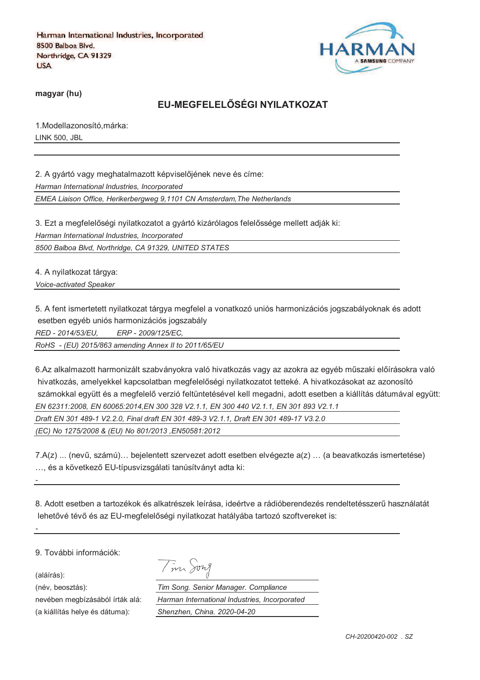

**magyar (hu)**

## **EU-MEGFELELRSÉGI NYILATKOZAT**

1.Modellazonosító,márka: LINK 500, JBL

2. A gyártó vagy meghatalmazott képviselőjének neve és címe: *Harman International Industries, Incorporated*

*EMEA Liaison Office, Herikerbergweg 9,1101 CN Amsterdam,The Netherlands*

3. Ezt a megfelelőségi nyilatkozatot a gyártó kizárólagos felelőssége mellett adják ki:

*Harman International Industries, Incorporated*

*8500 Balboa Blvd, Northridge, CA 91329, UNITED STATES*

4. A nyilatkozat tárgya:

*Voice-activated Speaker*

5. A fent ismertetett nyilatkozat tárgya megfelel a vonatkozó uniós harmonizációs jogszabályoknak és adott esetben egyéb uniós harmonizációs jogszabály

*RED - 2014/53/EU, ERP - 2009/125/EC,*

*RoHS - (EU) 2015/863 amending Annex II to 2011/65/EU*

6.Az alkalmazott harmonizált szabványokra való hivatkozás vagy az azokra az egyéb műszaki előírásokra való hivatkozás, amelyekkel kapcsolatban megfelelőségi nyilatkozatot tetteké. A hivatkozásokat az azonosító számokkal együtt és a megfelelő verzió feltüntetésével kell megadni, adott esetben a kiállítás dátumával együtt: *EN 62311:2008, EN 60065:2014,EN 300 328 V2.1.1, EN 300 440 V2.1.1, EN 301 893 V2.1.1 Draft EN 301 489-1 V2.2.0, Final draft EN 301 489-3 V2.1.1, Draft EN 301 489-17 V3.2.0* 

*(EC) No 1275/2008 & (EU) No 801/2013 ,EN50581:2012* 

7.A(z) ... (nevi, számú)… bejelentett szervezet adott esetben elvégezte a(z) … (a beavatkozás ismertetése) ... és a következő EU-típusvizsgálati tanúsítványt adta ki:

8. Adott esetben a tartozékok és alkatrészek leírása, ideértve a rádióberendezés rendeltetésszeri használatát lehetővé tévő és az EU-megfelelőségi nyilatkozat hatályába tartozó szoftvereket is:

9. További információk:

(aláírás):

*-*

*-*

(a kiállítás helye és dátuma): *Shenzhen, China. 2020-04-20*

|  | Тh |  |
|--|----|--|
|  |    |  |

(név, beosztás): *Tim Song. Senior Manager. Compliance* nevében megbízásából írták alá: *Harman International Industries, Incorporated*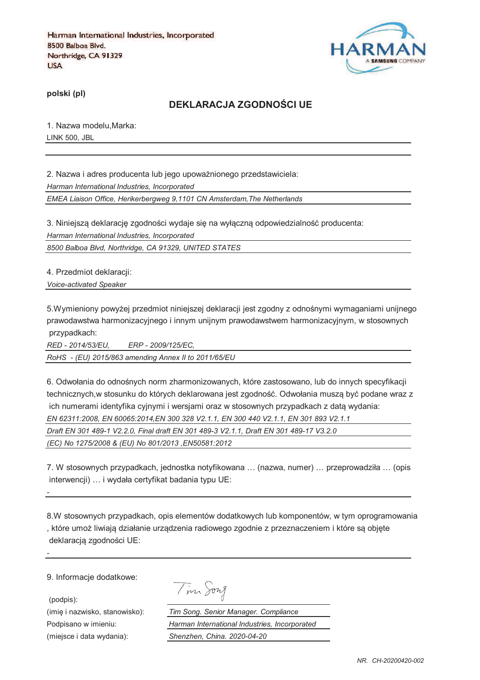

**polski (pl)**

### **DEKLARACJA ZGODNOTCI UE**

1. Nazwa modelu,Marka: LINK 500, JBL

2. Nazwa i adres producenta lub jego upoważnionego przedstawiciela: *Harman International Industries, Incorporated EMEA Liaison Office, Herikerbergweg 9,1101 CN Amsterdam,The Netherlands*

3. Niniejszą deklarację zgodności wydaje się na wyłączną odpowiedzialność producenta: *Harman International Industries, Incorporated*

*8500 Balboa Blvd, Northridge, CA 91329, UNITED STATES*

4. Przedmiot deklaracji:

*Voice-activated Speaker*

5.Wymieniony powyżej przedmiot niniejszej deklaracji jest zgodny z odnośnymi wymaganiami unijnego prawodawstwa harmonizacyjnego i innym unijnym prawodawstwem harmonizacyjnym, w stosownych przypadkach:

*RED - 2014/53/EU, ERP - 2009/125/EC, RoHS - (EU) 2015/863 amending Annex II to 2011/65/EU*

6. Odwołania do odnośnych norm zharmonizowanych, które zastosowano, lub do innych specyfikacji technicznych,w stosunku do których deklarowana jest zgodność. Odwołania musza być podane wraz z ich numerami identyfika cyjnymi i wersjami oraz w stosownych przypadkach z data wydania: *EN 62311:2008, EN 60065:2014,EN 300 328 V2.1.1, EN 300 440 V2.1.1, EN 301 893 V2.1.1 Draft EN 301 489-1 V2.2.0, Final draft EN 301 489-3 V2.1.1, Draft EN 301 489-17 V3.2.0 (EC) No 1275/2008 & (EU) No 801/2013 ,EN50581:2012* 

7. W stosownych przypadkach, jednostka notyfikowana … (nazwa, numer) … przeprowadziła … (opis interwencji) … i wydała certyfikat badania typu UE:

8.W stosownych przypadkach, opis elementów dodatkowych lub komponentów, w tym oprogramowania , które umoj liwiaja działanie urzadzenia radiowego zgodnie z przeznaczeniem i które sa objcte deklaracją zgodności UE:

9. Informacje dodatkowe:

*-*

*-*

(podpis):

Tim Song

(imię i nazwisko, stanowisko): *Tim Song. Senior Manager. Compliance* Podpisano w imieniu: *Harman International Industries, Incorporated* (miejsce i data wydania): *Shenzhen, China. 2020-04-20*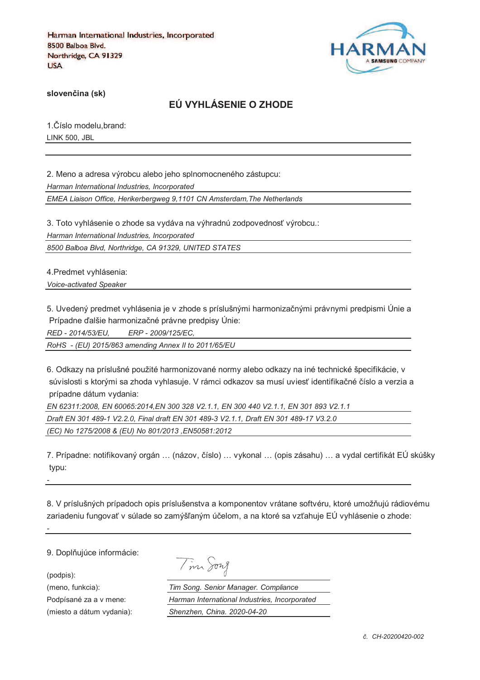

**sloven%ina (sk)**

## **EÚ VYHLÁSENIE O ZHODE**

1. Číslo modelu, brand: LINK 500, JBL

2. Meno a adresa výrobcu alebo jeho splnomocneného zástupcu: *Harman International Industries, Incorporated EMEA Liaison Office, Herikerbergweg 9,1101 CN Amsterdam,The Netherlands*

3. Toto vyhlásenie o zhode sa vydáva na výhradnú zodpovednosť výrobcu.:

*Harman International Industries, Incorporated*

*8500 Balboa Blvd, Northridge, CA 91329, UNITED STATES*

4.Predmet vyhlásenia: *Voice-activated Speaker*

5. Uvedený predmet vyhlásenia je v zhode s príslušnými harmonizačnými právnymi predpismi Únie a Prípadne ďalšie harmonizačné právne predpisy Únie:

*RED - 2014/53/EU, ERP - 2009/125/EC,*

*RoHS - (EU) 2015/863 amending Annex II to 2011/65/EU*

6. Odkazy na príslušné použité harmonizované normy alebo odkazy na iné technické špecifikácie, v súvislosti s ktorými sa zhoda vyhlasuje. V rámci odkazov sa musí uviesť identifikačné číslo a verzia a prípadne dátum vydania:

*EN 62311:2008, EN 60065:2014,EN 300 328 V2.1.1, EN 300 440 V2.1.1, EN 301 893 V2.1.1 Draft EN 301 489-1 V2.2.0, Final draft EN 301 489-3 V2.1.1, Draft EN 301 489-17 V3.2.0 (EC) No 1275/2008 & (EU) No 801/2013 ,EN50581:2012* 

7. Prípadne: notifikovaný orgán ... (názov, číslo) ... vykonal ... (opis zásahu) ... a vydal certifikát EÚ skúšky typu:

8. V príslušných prípadoch opis príslušenstva a komponentov vrátane softvéru, ktoré umožňujú rádiovému zariadeniu fungovať v súlade so zamýšľaným účelom, a na ktoré sa vzťahuje EÚ vyhlásenie o zhode:

9. Doplňujúce informácie:

(podpis):

*-*

*-*

| าพา |  |
|-----|--|
|-----|--|

(meno, funkcia): *Tim Song. Senior Manager. Compliance* Podpísané za a v mene: *Harman International Industries, Incorporated* (miesto a dátum vydania): *Shenzhen, China. 2020-04-20*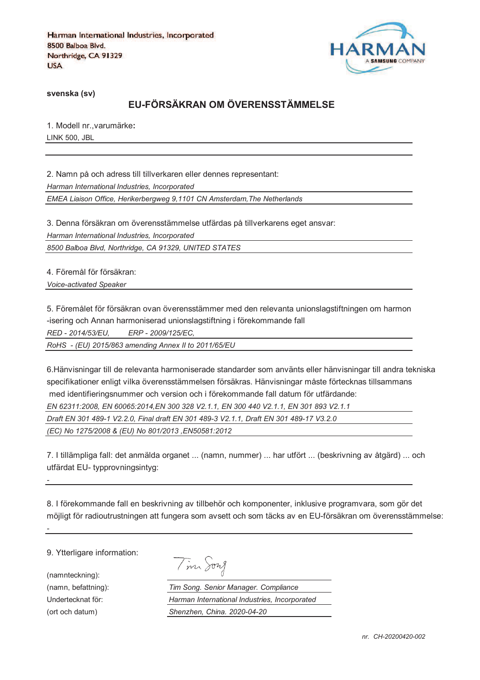

**svenska (sv)**

# **EU-FÖRSÄKRAN OM ÖVERENSSTÄMMELSE**

1. Modell nr.,varumärke**:** LINK 500, JBL

2. Namn på och adress till tillverkaren eller dennes representant: *Harman International Industries, Incorporated EMEA Liaison Office, Herikerbergweg 9,1101 CN Amsterdam,The Netherlands*

3. Denna försäkran om överensstämmelse utfärdas på tillverkarens eget ansvar:

*Harman International Industries, Incorporated*

*8500 Balboa Blvd, Northridge, CA 91329, UNITED STATES*

4. Föremål för försäkran: *Voice-activated Speaker*

5. Föremålet för försäkran ovan överensstämmer med den relevanta unionslagstiftningen om harmon -isering och Annan harmoniserad unionslagstiftning i förekommande fall

*RED - 2014/53/EU, ERP - 2009/125/EC,*

*RoHS - (EU) 2015/863 amending Annex II to 2011/65/EU*

6.Hänvisningar till de relevanta harmoniserade standarder som använts eller hänvisningar till andra tekniska specifikationer enligt vilka överensstämmelsen försäkras. Hänvisningar måste förtecknas tillsammans med identifieringsnummer och version och i förekommande fall datum för utfärdande:

*EN 62311:2008, EN 60065:2014,EN 300 328 V2.1.1, EN 300 440 V2.1.1, EN 301 893 V2.1.1* 

*Draft EN 301 489-1 V2.2.0, Final draft EN 301 489-3 V2.1.1, Draft EN 301 489-17 V3.2.0* 

*(EC) No 1275/2008 & (EU) No 801/2013 ,EN50581:2012* 

7. I tillämpliga fall: det anmälda organet ... (namn, nummer) ... har utfört ... (beskrivning av åtgärd) ... och utfärdat EU- typprovningsintyg:

8. I förekommande fall en beskrivning av tillbehör och komponenter, inklusive programvara, som gör det möjligt för radioutrustningen att fungera som avsett och som täcks av en EU-försäkran om överensstämmelse:

9. Ytterligare information:

(namnteckning): (namn, befattning): Undertecknat för: *Harman International Industries, Incorporated* (ort och datum)

*-*

*-*

|  | $\mathit{vn}\mathcal{\mathcal{A}}$ |
|--|------------------------------------|
|--|------------------------------------|

| Tim Song. Senior Manager. Compliance          |  |  |
|-----------------------------------------------|--|--|
| Harman International Industries, Incorporated |  |  |
| Shenzhen, China. 2020-04-20                   |  |  |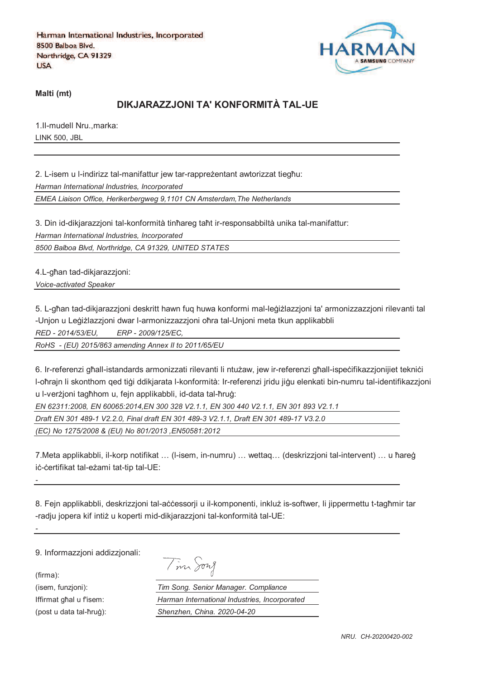

**Malti (mt)**

## **DIKJARAZZJONI TA' KONFORMITÀ TAL-UE**

1.Il-mudell Nru.,marka: LINK 500, JBL

2. L-isem u l-indirizz tal-manifattur jew tar-rappreżentant awtorizzat tiegħu: *Harman International Industries, Incorporated*

*EMEA Liaison Office, Herikerbergweg 9,1101 CN Amsterdam,The Netherlands*

3. Din id-dikjarazzjoni tal-konformità tinħareg taħt ir-responsabbiltà unika tal-manifattur:

*Harman International Industries, Incorporated*

*8500 Balboa Blvd, Northridge, CA 91329, UNITED STATES*

4.L-ghan tad-dikjarazzjoni: *Voice-activated Speaker*

5. L-għan tad-dikiarazzioni deskritt hawn fug huwa konformi mal-leġiżlazzioni ta' armonizzazzioni rilevanti tal -Unjon u Leģiżlazzjoni dwar l-armonizzazzjoni oħra tal-Unjoni meta tkun applikabbli

*RED - 2014/53/EU, ERP - 2009/125/EC,*

*RoHS - (EU) 2015/863 amending Annex II to 2011/65/EU*

6. Ir-referenzi ghall-istandards armonizzati rilevanti li ntużaw, jew ir-referenzi ghall-ispecifikazzjonijiet teknici l-oħrajn li skonthom qed tiġi ddikjarata l-konformità: Ir-referenzi jridu jiġu elenkati bin-numru tal-identifikazzjoni u l-verzioni taghhom u, fein applikabbli, id-data tal-hrug:

*EN 62311:2008, EN 60065:2014,EN 300 328 V2.1.1, EN 300 440 V2.1.1, EN 301 893 V2.1.1* 

*Draft EN 301 489-1 V2.2.0, Final draft EN 301 489-3 V2.1.1, Draft EN 301 489-17 V3.2.0* 

*(EC) No 1275/2008 & (EU) No 801/2013 ,EN50581:2012* 

7.Meta applikabbli, il-korp notifikat ... (I-isem, in-numru) ... wettaq... (deskrizzjoni tal-intervent) ... u ħareġ iċ-ċertifikat tal-eżami tat-tip tal-UE:

8. Fejn applikabbli, deskrizzjoni tal-accessorji u il-komponenti, inkluž is-softwer, li jippermettu t-tagħmir tar -radju jopera kif intiż u koperti mid-dikjarazzjoni tal-konformità tal-UE:

9. Informazzjoni addizzjonali:

(firma):

*-*

*-*

Tim Song

(isem, funzjoni): *Tim Song. Senior Manager. Compliance* Iffirmat ghal u f'isem: *Harman International Industries, Incorporated* (post u data tal-ħruġ): *Shenzhen, China. 2020-04-20*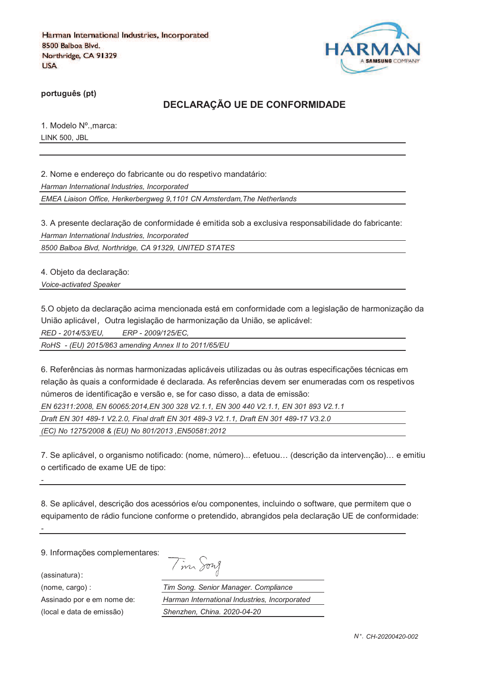

**português (pt)**

### **DECLARAÇÃO UE DE CONFORMIDADE**

1. Modelo Nº.,marca: LINK 500, JBL

2. Nome e endereço do fabricante ou do respetivo mandatário:

*Harman International Industries, Incorporated*

*EMEA Liaison Office, Herikerbergweg 9,1101 CN Amsterdam,The Netherlands*

3. A presente declaração de conformidade é emitida sob a exclusiva responsabilidade do fabricante: *Harman International Industries, Incorporated*

*8500 Balboa Blvd, Northridge, CA 91329, UNITED STATES*

4. Objeto da declaração:

*Voice-activated Speaker*

5.O objeto da declaração acima mencionada está em conformidade com a legislação de harmonização da União aplicável, Outra legislação de harmonização da União, se aplicável:

*RED - 2014/53/EU, ERP - 2009/125/EC,*

*RoHS - (EU) 2015/863 amending Annex II to 2011/65/EU*

6. Referências às normas harmonizadas aplicáveis utilizadas ou às outras especificações técnicas em relação às quais a conformidade é declarada. As referências devem ser enumeradas com os respetivos números de identificação e versão e, se for caso disso, a data de emissão:

*EN 62311:2008, EN 60065:2014,EN 300 328 V2.1.1, EN 300 440 V2.1.1, EN 301 893 V2.1.1* 

*Draft EN 301 489-1 V2.2.0, Final draft EN 301 489-3 V2.1.1, Draft EN 301 489-17 V3.2.0* 

*(EC) No 1275/2008 & (EU) No 801/2013 ,EN50581:2012* 

7. Se aplicável, o organismo notificado: (nome, número)... efetuou… (descrição da intervenção)… e emitiu o certificado de exame UE de tipo:

8. Se aplicável, descrição dos acessórios e/ou componentes, incluindo o software, que permitem que o equipamento de rádio funcione conforme o pretendido, abrangidos pela declaração UE de conformidade:

9. Informações complementares:

(assinatura)

*-*

*-*

Tim Song

(nome, cargo) : *Tim Song. Senior Manager. Compliance* Assinado por e em nome de: *Harman International Industries, Incorporated* (local e data de emissão) *Shenzhen, China. 2020-04-20*